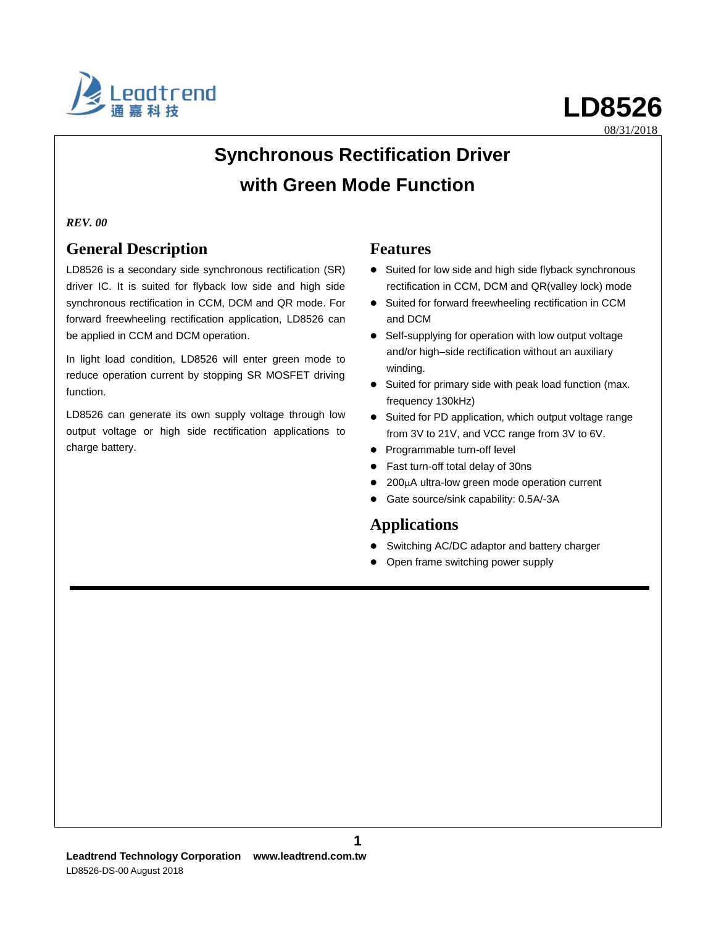

08/31/2018

## **Synchronous Rectification Driver with Green Mode Function**

#### *REV. 00*

### **General Description**

LD8526 is a secondary side synchronous rectification (SR) driver IC. It is suited for flyback low side and high side synchronous rectification in CCM, DCM and QR mode. For forward freewheeling rectification application, LD8526 can be applied in CCM and DCM operation.

In light load condition, LD8526 will enter green mode to reduce operation current by stopping SR MOSFET driving function.

LD8526 can generate its own supply voltage through low output voltage or high side rectification applications to charge battery.

#### **Features**

- Suited for low side and high side flyback synchronous rectification in CCM, DCM and QR(valley lock) mode
- Suited for forward freewheeling rectification in CCM and DCM
- Self-supplying for operation with low output voltage and/or high–side rectification without an auxiliary winding.
- Suited for primary side with peak load function (max. frequency 130kHz)
- Suited for PD application, which output voltage range from 3V to 21V, and VCC range from 3V to 6V.
- Programmable turn-off level
- Fast turn-off total delay of 30ns
- 200µA ultra-low green mode operation current
- Gate source/sink capability: 0.5A/-3A

### **Applications**

- Switching AC/DC adaptor and battery charger
- Open frame switching power supply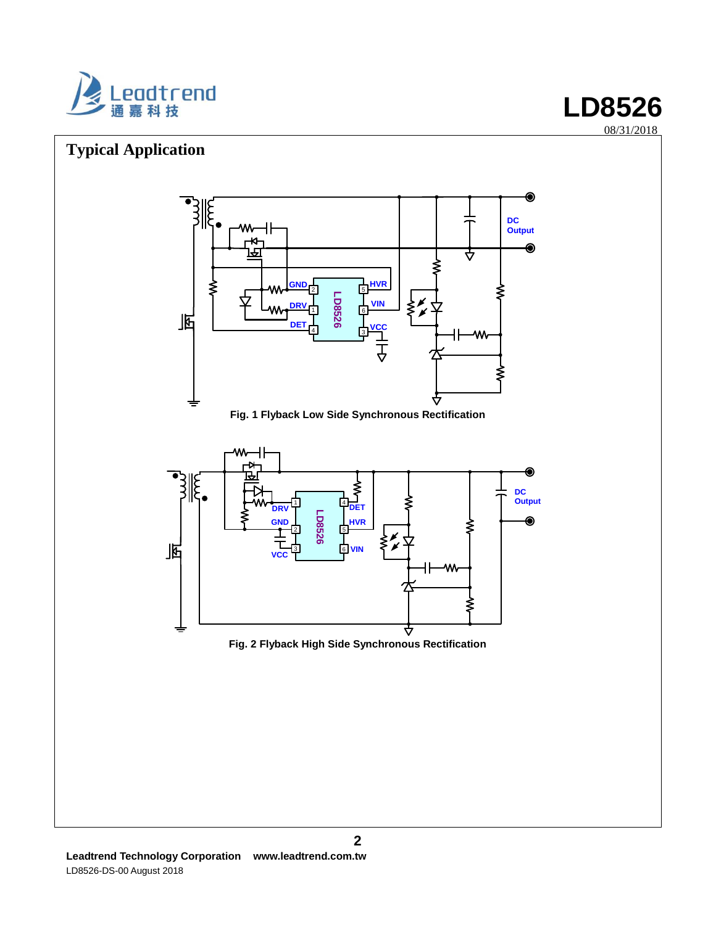

## **Typical Application**



**Fig. 1 Flyback Low Side Synchronous Rectification**





**LD8526**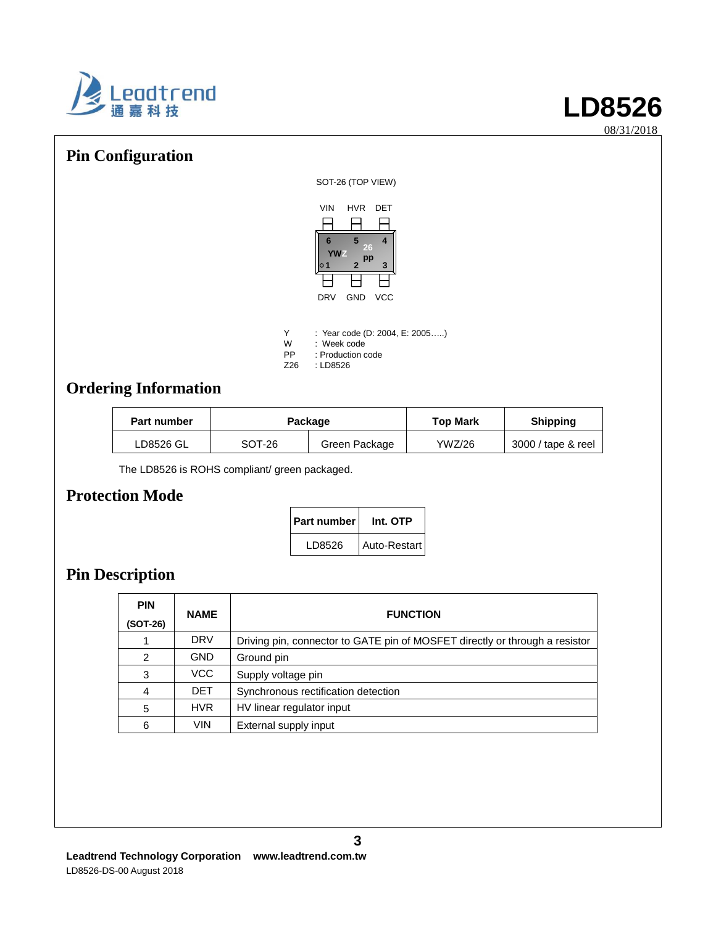

08/31/2018

## **Pin Configuration**

SOT-26 (TOP VIEW)



| Y   | : Year code (D: 2004, E: 2005) |
|-----|--------------------------------|
| W   | : Week code                    |
| РP  | : Production code              |
| Z26 | : LD8526                       |

## **Ordering Information**

| <b>Part number</b> |        | Package       | <b>Top Mark</b> | <b>Shipping</b>    |
|--------------------|--------|---------------|-----------------|--------------------|
| LD8526 GL          | SOT-26 | Green Package | YWZ/26          | 3000 / tape & reel |

The LD8526 is ROHS compliant/ green packaged.

### **Protection Mode**

| Part number | Int. OTP     |
|-------------|--------------|
| LD8526      | Auto-Restart |

## **Pin Description**

| <b>PIN</b><br>(SOT-26) | <b>NAME</b> | <b>FUNCTION</b>                                                             |
|------------------------|-------------|-----------------------------------------------------------------------------|
|                        |             |                                                                             |
| 1                      | <b>DRV</b>  | Driving pin, connector to GATE pin of MOSFET directly or through a resistor |
| $\mathcal{P}$          | <b>GND</b>  | Ground pin                                                                  |
| 3                      | VCC.        | Supply voltage pin                                                          |
| 4                      | <b>DET</b>  | Synchronous rectification detection                                         |
| 5                      | <b>HVR</b>  | HV linear regulator input                                                   |
| 6                      | <b>VIN</b>  | External supply input                                                       |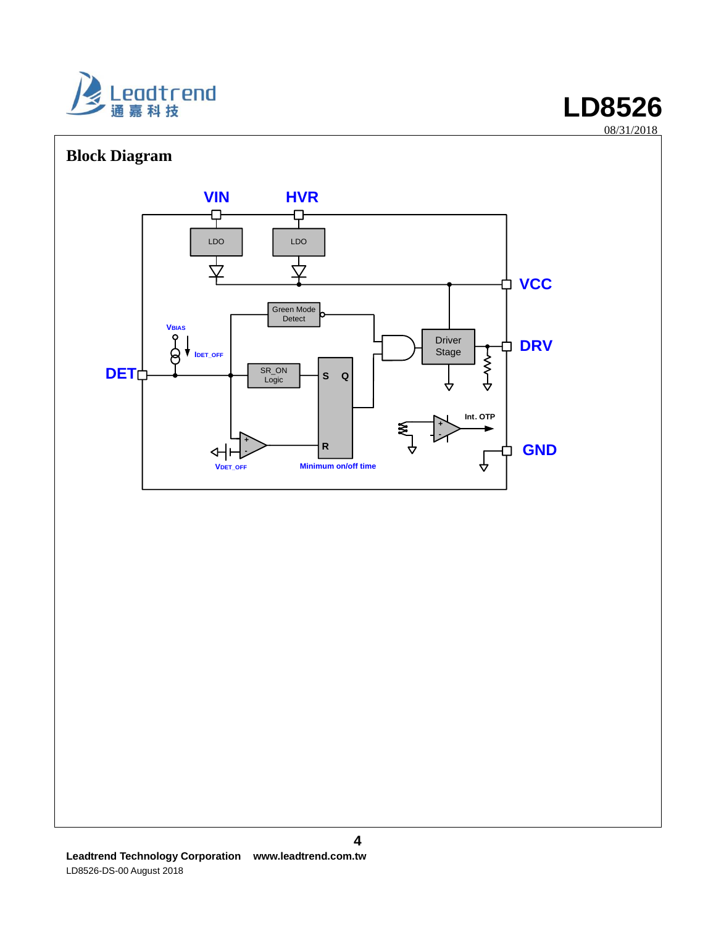

## **Block Diagram**



#### **4**

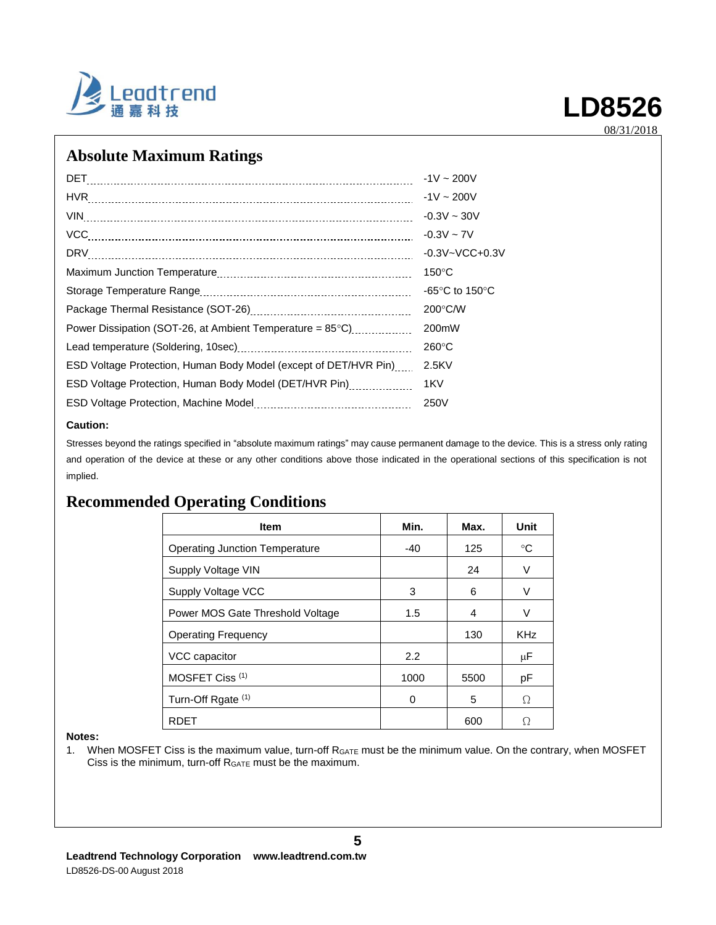

08/31/2018

### **Absolute Maximum Ratings**

| DET                                                                 | $-1V \sim 200V$                    |
|---------------------------------------------------------------------|------------------------------------|
|                                                                     | $-1V \sim 200V$                    |
|                                                                     | $-0.3V \sim 30V$                   |
| VCC.                                                                | $-0.3V - 7V$                       |
|                                                                     | $-0.3V - VCC + 0.3V$               |
|                                                                     | $150^{\circ}$ C                    |
|                                                                     | -65 $\degree$ C to 150 $\degree$ C |
|                                                                     | $200^{\circ}$ C/W                  |
| Power Dissipation (SOT-26, at Ambient Temperature = $85^{\circ}$ C) | 200mW                              |
|                                                                     | $260^{\circ}$ C                    |
| ESD Voltage Protection, Human Body Model (except of DET/HVR Pin)    | 2.5KV                              |
| ESD Voltage Protection, Human Body Model (DET/HVR Pin)              | 1KV                                |
|                                                                     | 250V                               |
|                                                                     |                                    |

#### **Caution:**

Stresses beyond the ratings specified in "absolute maximum ratings" may cause permanent damage to the device. This is a stress only rating and operation of the device at these or any other conditions above those indicated in the operational sections of this specification is not implied.

### **Recommended Operating Conditions**

| <b>Item</b>                      | Min. | Max. | <b>Unit</b> |
|----------------------------------|------|------|-------------|
| Operating Junction Temperature   | -40  | 125  | $^{\circ}C$ |
| Supply Voltage VIN               |      | 24   | V           |
| Supply Voltage VCC               | 3    | 6    | v           |
| Power MOS Gate Threshold Voltage | 1.5  | 4    | ٧           |
| <b>Operating Frequency</b>       |      | 130  | <b>KHz</b>  |
| VCC capacitor                    | 2.2  |      | μF          |
| MOSFET Ciss <sup>(1)</sup>       | 1000 | 5500 | рF          |
| Turn-Off Rgate (1)               | 0    | 5    | Ω           |
| RDET                             |      | 600  | Ω           |

#### **Notes:**

1. When MOSFET Ciss is the maximum value, turn-off RGATE must be the minimum value. On the contrary, when MOSFET Ciss is the minimum, turn-off RGATE must be the maximum.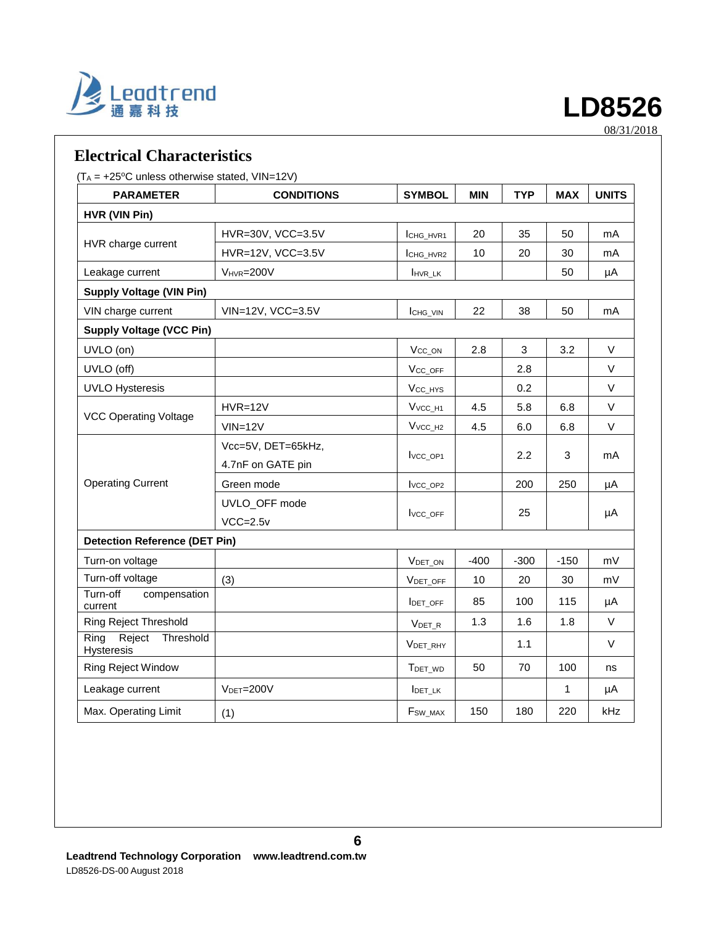

### **Electrical Characteristics**

#### $(T_A = +25\degree C$  unless otherwise stated, VIN=12V)

| <b>PARAMETER</b>                          | <b>CONDITIONS</b>  | <b>SYMBOL</b>                   | <b>MIN</b> | <b>TYP</b> | <b>MAX</b> | <b>UNITS</b> |
|-------------------------------------------|--------------------|---------------------------------|------------|------------|------------|--------------|
| HVR (VIN Pin)                             |                    |                                 |            |            |            |              |
|                                           | HVR=30V, VCC=3.5V  | ICHG HVR1                       | 20         | 35         | 50         | mA           |
| HVR charge current                        | HVR=12V, VCC=3.5V  | ICHG_HVR2                       | 10         | 20         | 30         | mA           |
| Leakage current                           | $V_{HVR} = 200V$   | <b>HVR LK</b>                   |            |            | 50         | μA           |
| <b>Supply Voltage (VIN Pin)</b>           |                    |                                 |            |            |            |              |
| VIN charge current                        | VIN=12V, VCC=3.5V  | ICHG_VIN                        | 22         | 38         | 50         | mA           |
| <b>Supply Voltage (VCC Pin)</b>           |                    |                                 |            |            |            |              |
| UVLO (on)                                 |                    | V <sub>CC_ON</sub>              | 2.8        | 3          | 3.2        | $\vee$       |
| UVLO (off)                                |                    | V <sub>CC_OFF</sub>             |            | 2.8        |            | $\vee$       |
| <b>UVLO Hysteresis</b>                    |                    | V <sub>CC_HYS</sub>             |            | 0.2        |            | $\vee$       |
|                                           | $HVR=12V$          | V <sub>VCC</sub> H <sub>1</sub> | 4.5        | 5.8        | 6.8        | $\vee$       |
| <b>VCC Operating Voltage</b>              | $VIN = 12V$        | $V_{VCC_H2}$                    | 4.5        | 6.0        | 6.8        | $\vee$       |
|                                           | Vcc=5V, DET=65kHz, | Ivcc_op1                        |            |            | 3          | mA           |
|                                           | 4.7nF on GATE pin  |                                 |            | 2.2        |            |              |
| <b>Operating Current</b>                  | Green mode         | Ivcc_op <sub>2</sub>            |            | 200        | 250        | μA           |
|                                           | UVLO_OFF mode      |                                 |            |            |            |              |
|                                           | $VCC=2.5v$         | Ivcc_oFF                        |            | 25         |            | μA           |
| <b>Detection Reference (DET Pin)</b>      |                    |                                 |            |            |            |              |
| Turn-on voltage                           |                    | VDET_ON                         | $-400$     | $-300$     | $-150$     | mV           |
| Turn-off voltage                          | (3)                | VDET_OFF                        | 10         | 20         | 30         | mV           |
| Turn-off<br>compensation<br>current       |                    | <b>IDET OFF</b>                 | 85         | 100        | 115        | μA           |
| <b>Ring Reject Threshold</b>              |                    | $V_{DET_R}$                     | 1.3        | 1.6        | 1.8        | $\vee$       |
| Threshold<br>Ring<br>Reject<br>Hysteresis |                    | VDET_RHY                        |            | 1.1        |            | $\vee$       |
| <b>Ring Reject Window</b>                 |                    | T <sub>DET_WD</sub>             | 50         | 70         | 100        | ns           |
| Leakage current                           | $VDET=200V$        | IDET_LK                         |            |            | 1          | μA           |
| Max. Operating Limit                      | (1)                | F <sub>sw</sub> MAX             | 150        | 180        | 220        | kHz          |

**LD8526**

08/31/2018

**6**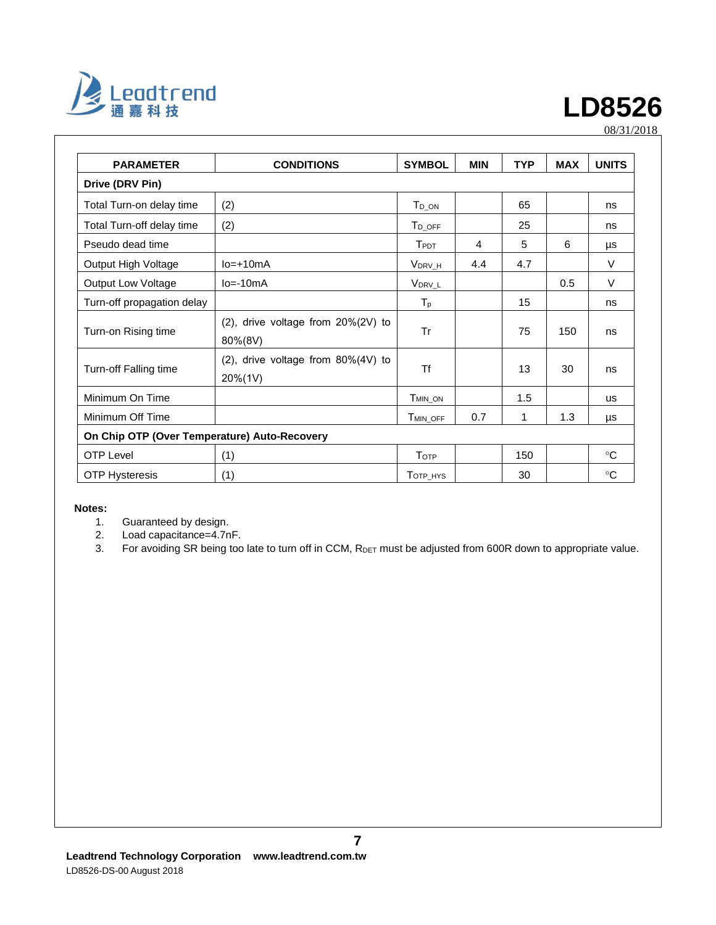

08/31/2018

| <b>PARAMETER</b><br><b>CONDITIONS</b>        |                                                     | <b>SYMBOL</b>        | <b>MIN</b> | <b>TYP</b> | <b>MAX</b> | <b>UNITS</b> |
|----------------------------------------------|-----------------------------------------------------|----------------------|------------|------------|------------|--------------|
| Drive (DRV Pin)                              |                                                     |                      |            |            |            |              |
| Total Turn-on delay time                     | (2)                                                 | T <sub>D_ON</sub>    |            | 65         |            | ns           |
| Total Turn-off delay time                    | (2)                                                 | $T_{D\_OFF}$         |            | 25         |            | ns           |
| Pseudo dead time                             |                                                     | $T_{\mathsf{PDT}}$   | 4          | 5          | 6          | μs           |
| Output High Voltage                          | $Io=+10mA$                                          | V <sub>DRV_H</sub>   | 4.4        | 4.7        |            | $\vee$       |
| <b>Output Low Voltage</b>                    | $Io = -10mA$                                        | V <sub>DRV_L</sub>   |            |            | 0.5        | $\vee$       |
| Turn-off propagation delay                   |                                                     | $T_{p}$              |            | 15         |            | ns           |
| Turn-on Rising time                          | $(2)$ , drive voltage from $20\%(2V)$ to<br>80%(8V) | Tr                   |            | 75         | 150        | ns           |
| Turn-off Falling time                        | (2), drive voltage from $80\%(4V)$ to<br>20%(1V)    | <b>Tf</b>            |            | 13         | 30         | ns           |
| Minimum On Time                              |                                                     | T <sub>MIN</sub> ON  |            | 1.5        |            | <b>us</b>    |
| Minimum Off Time                             |                                                     | T <sub>MIN_OFF</sub> | 0.7        | 1          | 1.3        | μs           |
| On Chip OTP (Over Temperature) Auto-Recovery |                                                     |                      |            |            |            |              |
| <b>OTP Level</b>                             | (1)                                                 | <b>TOTP</b>          |            | 150        |            | $^{\circ}C$  |
| (1)<br><b>OTP Hysteresis</b>                 |                                                     | TOTP_HYS             |            | 30         |            | $^{\circ}C$  |

#### **Notes:**

1. Guaranteed by design.<br>2. Load capacitance=4.7n

2. Load capacitance=4.7nF.<br>3. For avoiding SR being too

For avoiding SR being too late to turn off in CCM, RDET must be adjusted from 600R down to appropriate value.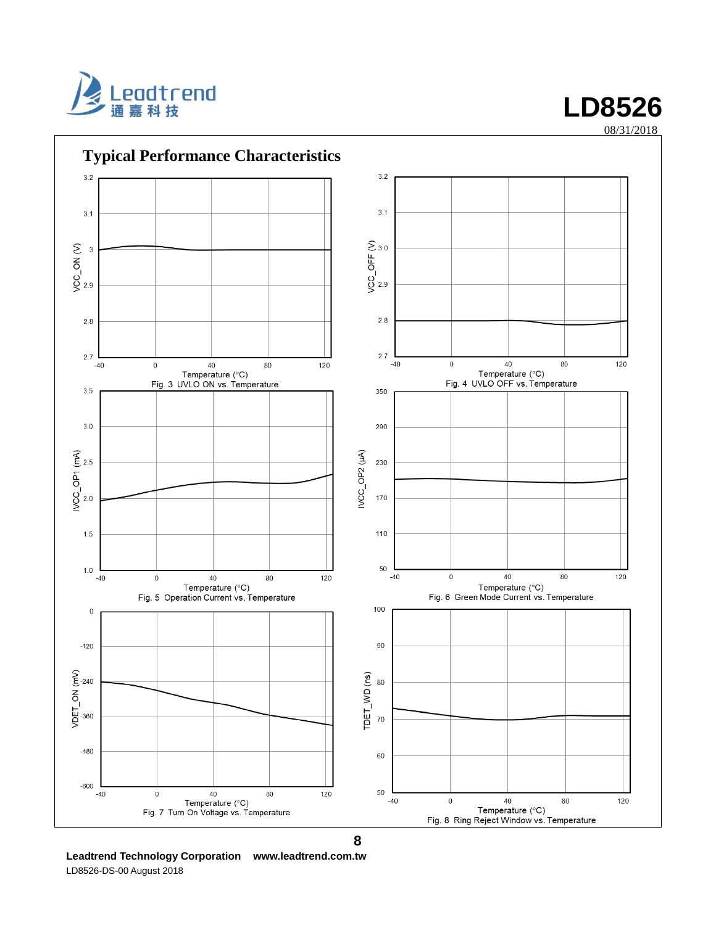



08/31/2018

**8**

**Leadtrend Technology Corporation www.leadtrend.com.tw** LD8526-DS-00 August 2018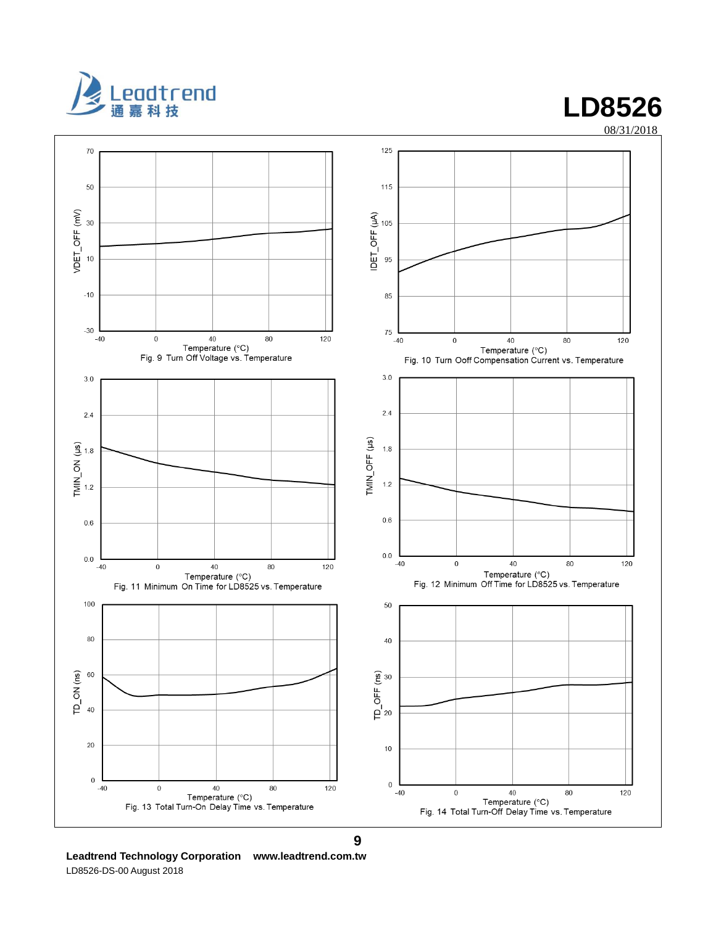



**Leadtrend Technology Corporation www.leadtrend.com.tw** LD8526-DS-00 August 2018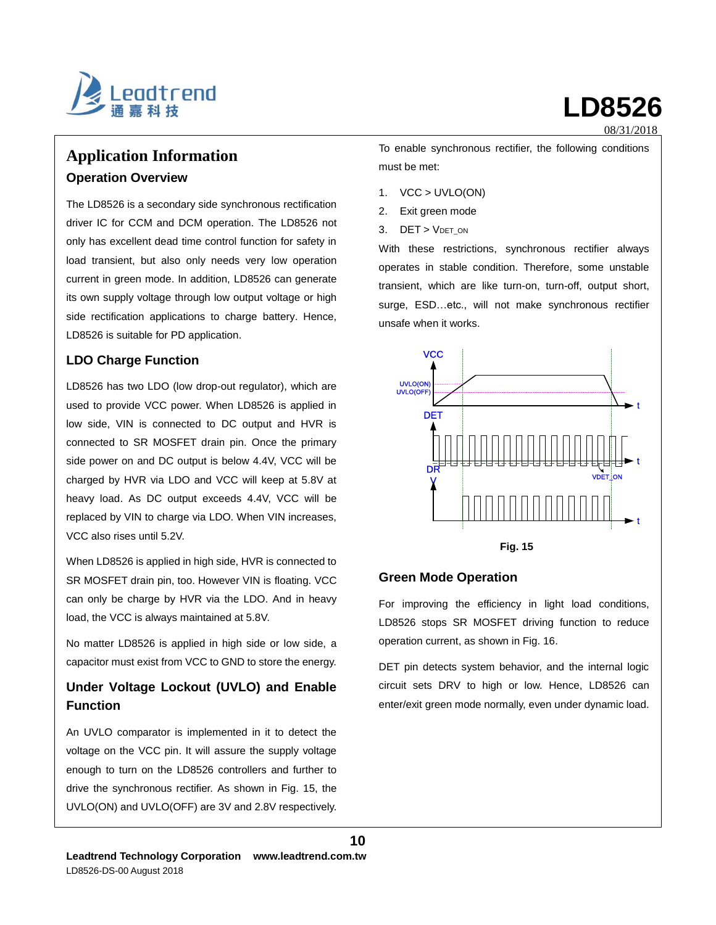

## **Application Information Operation Overview**

The LD8526 is a secondary side synchronous rectification driver IC for CCM and DCM operation. The LD8526 not only has excellent dead time control function for safety in load transient, but also only needs very low operation current in green mode. In addition, LD8526 can generate its own supply voltage through low output voltage or high side rectification applications to charge battery. Hence, LD8526 is suitable for PD application.

#### **LDO Charge Function**

LD8526 has two LDO (low drop-out regulator), which are used to provide VCC power. When LD8526 is applied in low side, VIN is connected to DC output and HVR is connected to SR MOSFET drain pin. Once the primary side power on and DC output is below 4.4V, VCC will be charged by HVR via LDO and VCC will keep at 5.8V at heavy load. As DC output exceeds 4.4V, VCC will be replaced by VIN to charge via LDO. When VIN increases, VCC also rises until 5.2V.

When LD8526 is applied in high side, HVR is connected to SR MOSFET drain pin, too. However VIN is floating. VCC can only be charge by HVR via the LDO. And in heavy load, the VCC is always maintained at 5.8V.

No matter LD8526 is applied in high side or low side, a capacitor must exist from VCC to GND to store the energy.

#### **Under Voltage Lockout (UVLO) and Enable Function**

An UVLO comparator is implemented in it to detect the voltage on the VCC pin. It will assure the supply voltage enough to turn on the LD8526 controllers and further to drive the synchronous rectifier. As shown in Fig. 15, the UVLO(ON) and UVLO(OFF) are 3V and 2.8V respectively.

must be met: 1. VCC > UVLO(ON)

- 2. Exit green mode
- 3. DET > VDET\_ON

With these restrictions, synchronous rectifier always operates in stable condition. Therefore, some unstable transient, which are like turn-on, turn-off, output short, surge, ESD…etc., will not make synchronous rectifier unsafe when it works.

To enable synchronous rectifier, the following conditions



#### **Green Mode Operation**

**10**

For improving the efficiency in light load conditions, LD8526 stops SR MOSFET driving function to reduce operation current, as shown in Fig. 16.

DET pin detects system behavior, and the internal logic circuit sets DRV to high or low. Hence, LD8526 can enter/exit green mode normally, even under dynamic load.

# **LD8526**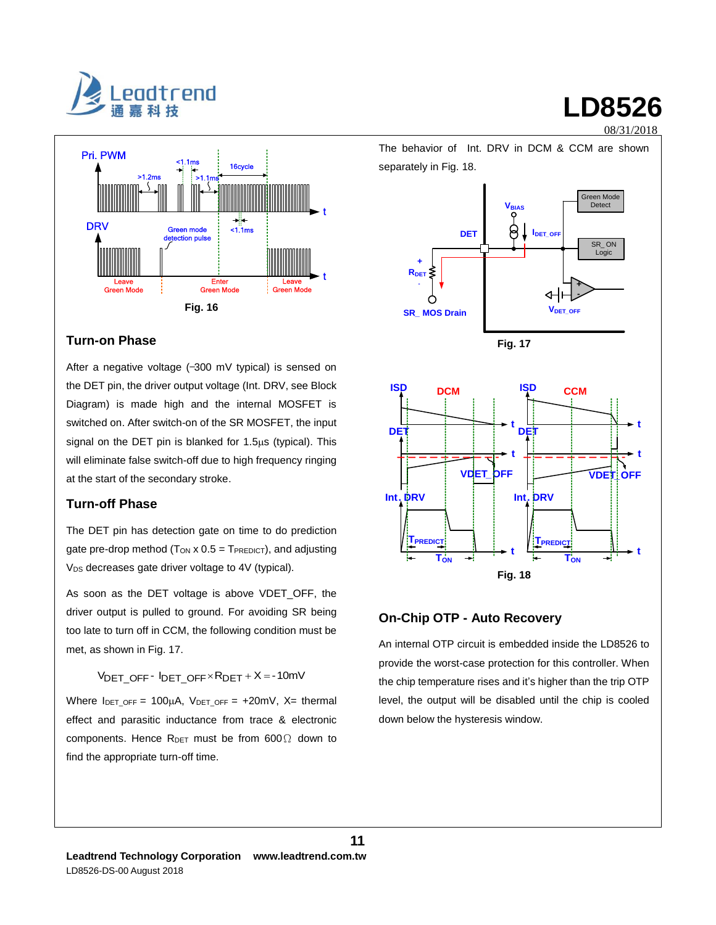



#### **Turn-on Phase**

After a negative voltage (-300 mV typical) is sensed on the DET pin, the driver output voltage (Int. DRV, see Block Diagram) is made high and the internal MOSFET is switched on. After switch-on of the SR MOSFET, the input signal on the DET pin is blanked for  $1.5\mu s$  (typical). This will eliminate false switch-off due to high frequency ringing at the start of the secondary stroke.

#### **Turn-off Phase**

The DET pin has detection gate on time to do prediction gate pre-drop method ( $T_{ON}$  x 0.5 =  $T_{PREDICT}$ ), and adjusting V<sub>DS</sub> decreases gate driver voltage to 4V (typical).

As soon as the DET voltage is above VDET\_OFF, the driver output is pulled to ground. For avoiding SR being too late to turn off in CCM, the following condition must be met, as shown in Fig. 17.

 $V<sub>DET</sub>$  OFF -  $I<sub>DET</sub>$  OFF  $\times$  R<sub>DET</sub> + X = -10mV

Where  $I_{DET\_OFF} = 100\mu A$ ,  $V_{DET\_OFF} = +20mV$ ,  $X=$  thermal effect and parasitic inductance from trace & electronic components. Hence  $R_{DET}$  must be from 600 $\Omega$  down to find the appropriate turn-off time.



#### **On-Chip OTP - Auto Recovery**

An internal OTP circuit is embedded inside the LD8526 to provide the worst-case protection for this controller. When the chip temperature rises and it's higher than the trip OTP level, the output will be disabled until the chip is cooled down below the hysteresis window.

## **LD8526**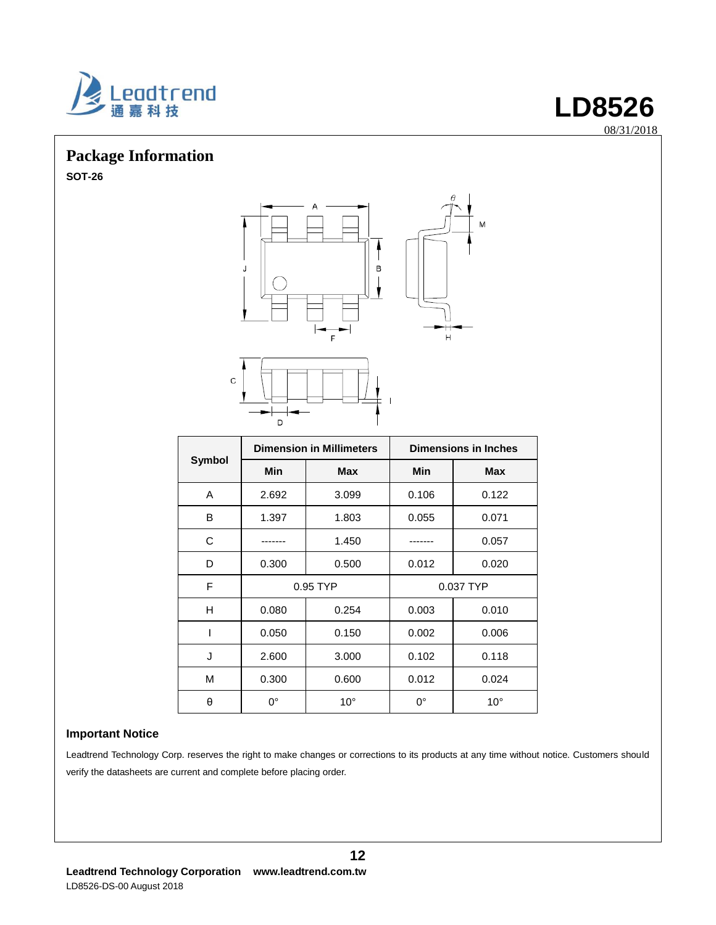

## **Package Information**

**SOT-26**



**LD8526**

08/31/2018

|               |            | <b>Dimension in Millimeters</b> | <b>Dimensions in Inches</b> |              |  |
|---------------|------------|---------------------------------|-----------------------------|--------------|--|
| <b>Symbol</b> | <b>Min</b> | Max                             | Min                         | <b>Max</b>   |  |
| A             | 2.692      | 3.099                           | 0.106                       | 0.122        |  |
| B             | 1.397      | 1.803                           | 0.055                       | 0.071        |  |
| C             |            | 1.450                           |                             | 0.057        |  |
| D             | 0.300      | 0.500                           | 0.012                       | 0.020        |  |
| F             | 0.95 TYP   |                                 |                             | 0.037 TYP    |  |
| н             | 0.080      | 0.254                           | 0.003                       | 0.010        |  |
| ı             | 0.050      | 0.150                           | 0.002                       | 0.006        |  |
| J             | 2.600      | 3.000                           | 0.102                       | 0.118        |  |
| M             | 0.300      | 0.600                           | 0.012                       | 0.024        |  |
| θ             | 0°         | $10^{\circ}$                    | $0^{\circ}$                 | $10^{\circ}$ |  |

#### **Important Notice**

Leadtrend Technology Corp. reserves the right to make changes or corrections to its products at any time without notice. Customers should verify the datasheets are current and complete before placing order.